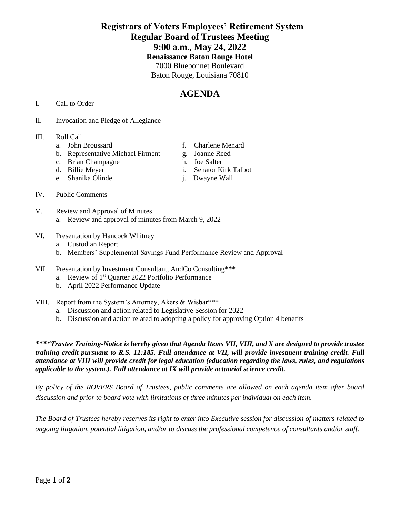## **Registrars of Voters Employees' Retirement System Regular Board of Trustees Meeting 9:00 a.m., May 24, 2022 Renaissance Baton Rouge Hotel** 7000 Bluebonnet Boulevard Baton Rouge, Louisiana 70810

# **AGENDA**

- I. Call to Order
- II. Invocation and Pledge of Allegiance

### III. Roll Call

- 
- b. Representative Michael Firment g. Joanne Reed<br>c. Brian Champagne h. Joe Salter
- c. Brian Champagne
- 
- e. Shanika Olinde j. Dwayne Wall
- a. John Broussard f. Charlene Menard
	-
	-
- d. Billie Meyer i. Senator Kirk Talbot
	-

- IV. Public Comments
- V. Review and Approval of Minutes a. Review and approval of minutes from March 9, 2022
- VI. Presentation by Hancock Whitney
	- a. Custodian Report
	- b. Members' Supplemental Savings Fund Performance Review and Approval
- VII. Presentation by Investment Consultant, AndCo Consulting**\*\*\***
	- a. Review of 1<sup>st</sup> Quarter 2022 Portfolio Performance
	- b. April 2022 Performance Update
- VIII. Report from the System's Attorney, Akers & Wisbar\*\*\*
	- a. Discussion and action related to Legislative Session for 2022
	- b. Discussion and action related to adopting a policy for approving Option 4 benefits

**\*\*\****"Trustee Training-Notice is hereby given that Agenda Items VII, VIII, and X are designed to provide trustee training credit pursuant to R.S. 11:185. Full attendance at VII, will provide investment training credit. Full attendance at VIII will provide credit for legal education (education regarding the laws, rules, and regulations applicable to the system.). Full attendance at IX will provide actuarial science credit.* 

*By policy of the ROVERS Board of Trustees, public comments are allowed on each agenda item after board discussion and prior to board vote with limitations of three minutes per individual on each item.*

*The Board of Trustees hereby reserves its right to enter into Executive session for discussion of matters related to ongoing litigation, potential litigation, and/or to discuss the professional competence of consultants and/or staff.*